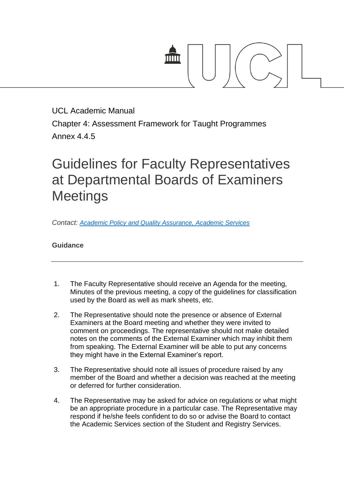

UCL Academic Manual Chapter 4: Assessment Framework for Taught Programmes Annex 4.4.5

## Guidelines for Faculty Representatives at Departmental Boards of Examiners **Meetings**

*Contact: [Academic Policy and Quality Assurance, Academic Services](mailto:examiners@ucl.ac.uk)*

## **Guidance**

- 1. The Faculty Representative should receive an Agenda for the meeting, Minutes of the previous meeting, a copy of the guidelines for classification used by the Board as well as mark sheets, etc.
- 2. The Representative should note the presence or absence of External Examiners at the Board meeting and whether they were invited to comment on proceedings. The representative should not make detailed notes on the comments of the External Examiner which may inhibit them from speaking. The External Examiner will be able to put any concerns they might have in the External Examiner's report.
- 3. The Representative should note all issues of procedure raised by any member of the Board and whether a decision was reached at the meeting or deferred for further consideration.
- 4. The Representative may be asked for advice on regulations or what might be an appropriate procedure in a particular case. The Representative may respond if he/she feels confident to do so or advise the Board to contact the Academic Services section of the Student and Registry Services.